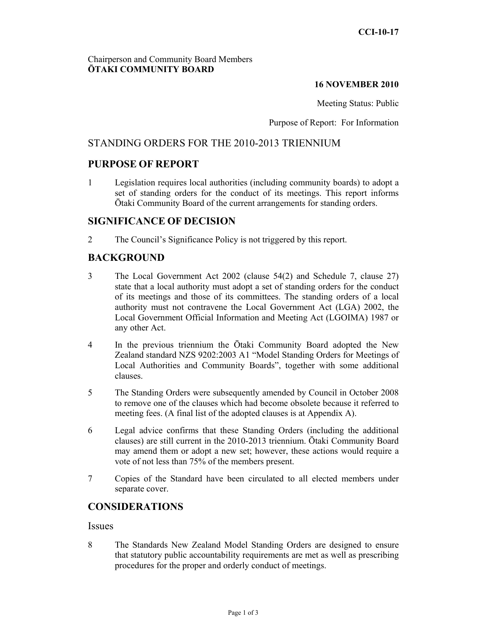## Chairperson and Community Board Members **ŌTAKI COMMUNITY BOARD**

#### **16 NOVEMBER 2010**

Meeting Status: Public

Purpose of Report: For Information

# STANDING ORDERS FOR THE 2010-2013 TRIENNIUM

## **PURPOSE OF REPORT**

1 Legislation requires local authorities (including community boards) to adopt a set of standing orders for the conduct of its meetings. This report informs Ōtaki Community Board of the current arrangements for standing orders.

## **SIGNIFICANCE OF DECISION**

2 The Council's Significance Policy is not triggered by this report.

# **BACKGROUND**

- 3 The Local Government Act 2002 (clause 54(2) and Schedule 7, clause 27) state that a local authority must adopt a set of standing orders for the conduct of its meetings and those of its committees. The standing orders of a local authority must not contravene the Local Government Act (LGA) 2002, the Local Government Official Information and Meeting Act (LGOIMA) 1987 or any other Act.
- 4 In the previous triennium the Ōtaki Community Board adopted the New Zealand standard NZS 9202:2003 A1 "Model Standing Orders for Meetings of Local Authorities and Community Boards", together with some additional clauses.
- 5 The Standing Orders were subsequently amended by Council in October 2008 to remove one of the clauses which had become obsolete because it referred to meeting fees. (A final list of the adopted clauses is at Appendix A).
- 6 Legal advice confirms that these Standing Orders (including the additional clauses) are still current in the 2010-2013 triennium. Ōtaki Community Board may amend them or adopt a new set; however, these actions would require a vote of not less than 75% of the members present.
- 7 Copies of the Standard have been circulated to all elected members under separate cover.

# **CONSIDERATIONS**

#### **Issues**

8 The Standards New Zealand Model Standing Orders are designed to ensure that statutory public accountability requirements are met as well as prescribing procedures for the proper and orderly conduct of meetings.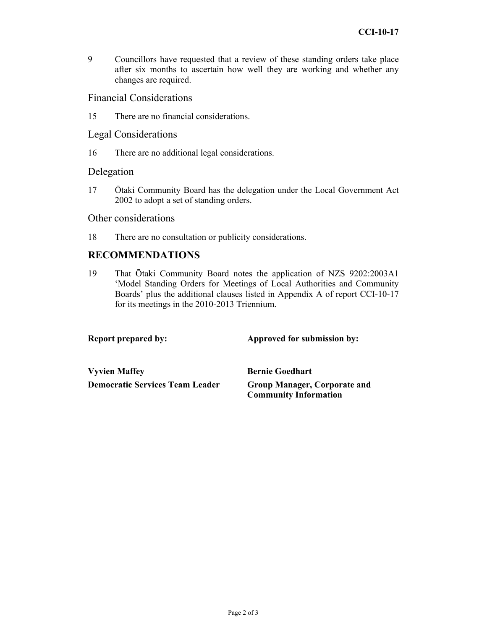9 Councillors have requested that a review of these standing orders take place after six months to ascertain how well they are working and whether any changes are required.

## Financial Considerations

15 There are no financial considerations.

#### Legal Considerations

16 There are no additional legal considerations.

## Delegation

17 Ōtaki Community Board has the delegation under the Local Government Act 2002 to adopt a set of standing orders.

Other considerations

18 There are no consultation or publicity considerations.

## **RECOMMENDATIONS**

19 That Ōtaki Community Board notes the application of NZS 9202:2003A1 'Model Standing Orders for Meetings of Local Authorities and Community Boards' plus the additional clauses listed in Appendix A of report CCI-10-17 for its meetings in the 2010-2013 Triennium.

**Report prepared by:** Approved for submission by:

**Vyvien Maffey Service Bernie Goedhart Democratic Services Team Leader Group Manager, Corporate and** 

**Community Information**